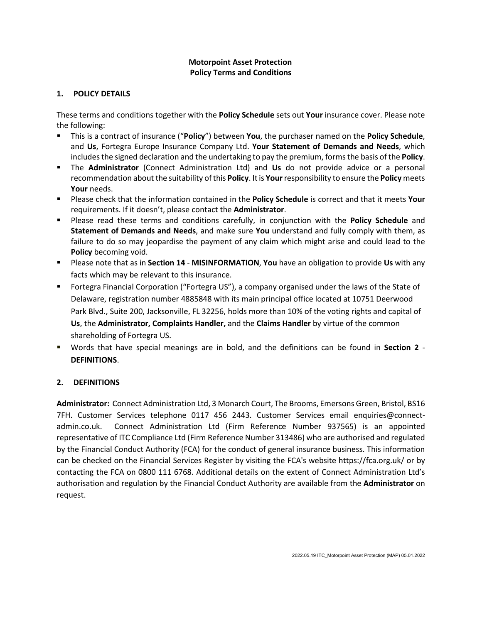# **Motorpoint Asset Protection Policy Terms and Conditions**

### **1. POLICY DETAILS**

These terms and conditions together with the **Policy Schedule** sets out **Your** insurance cover. Please note the following:

- This is a contract of insurance ("**Policy**") between **You**, the purchaser named on the **Policy Schedule**, and **Us**, Fortegra Europe Insurance Company Ltd. **Your Statement of Demands and Needs**, which includes the signed declaration and the undertaking to pay the premium, forms the basis of the **Policy**.
- The **Administrator** (Connect Administration Ltd) and **Us** do not provide advice or a personal recommendation about the suitability of this **Policy**. It is **Your**responsibility to ensure the **Policy** meets **Your** needs.
- Please check that the information contained in the **Policy Schedule** is correct and that it meets **Your** requirements. If it doesn't, please contact the **Administrator**.
- Please read these terms and conditions carefully, in conjunction with the **Policy Schedule** and **Statement of Demands and Needs**, and make sure **You** understand and fully comply with them, as failure to do so may jeopardise the payment of any claim which might arise and could lead to the **Policy** becoming void.
- Please note that as in **Section 14 MISINFORMATION**, **You** have an obligation to provide **Us** with any facts which may be relevant to this insurance.
- Fortegra Financial Corporation ("Fortegra US"), a company organised under the laws of the State of Delaware, registration number 4885848 with its main principal office located at 10751 Deerwood Park Blvd., Suite 200, Jacksonville, FL 32256, holds more than 10% of the voting rights and capital of **Us**, the **Administrator, Complaints Handler,** and the **Claims Handler** by virtue of the common shareholding of Fortegra US.
- Words that have special meanings are in bold, and the definitions can be found in **Section 2 DEFINITIONS**.

# **2. DEFINITIONS**

**Administrator:** Connect Administration Ltd, 3 Monarch Court, The Brooms, Emersons Green, Bristol, BS16 7FH. Customer Services telephone 0117 456 2443. Customer Services email enquiries@connectadmin.co.uk. Connect Administration Ltd (Firm Reference Number 937565) is an appointed representative of ITC Compliance Ltd (Firm Reference Number 313486) who are authorised and regulated by the Financial Conduct Authority (FCA) for the conduct of general insurance business. This information can be checked on the Financial Services Register by visiting the FCA's website https://fca.org.uk/ or by contacting the FCA on 0800 111 6768. Additional details on the extent of Connect Administration Ltd's authorisation and regulation by the Financial Conduct Authority are available from the **Administrator** on request.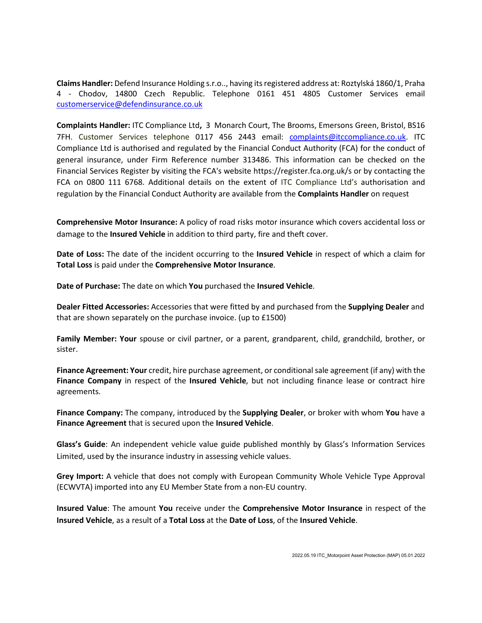**Claims Handler:** Defend Insurance Holding s.r.o.., having its registered address at: Roztylská 1860/1, Praha 4 - Chodov, 14800 Czech Republic. Telephone 0161 451 4805 Customer Services email [customerservice@defendinsurance.co.uk](mailto:customerservice@defendinsurance.co.uk)

**Complaints Handler:** ITC Compliance Ltd**,** 3 Monarch Court, The Brooms, Emersons Green, Bristol, BS16 7FH. Customer Services telephone 0117 456 2443 email: [complaints@itccompliance.co.uk.](mailto:complaints@itccompliance.co.uk) ITC Compliance Ltd is authorised and regulated by the Financial Conduct Authority (FCA) for the conduct of general insurance, under Firm Reference number 313486. This information can be checked on the Financial Services Register by visiting the FCA's website https://register.fca.org.uk/s or by contacting the FCA on 0800 111 6768. Additional details on the extent of ITC Compliance Ltd's authorisation and regulation by the Financial Conduct Authority are available from the **Complaints Handler** on request

**Comprehensive Motor Insurance:** A policy of road risks motor insurance which covers accidental loss or damage to the **Insured Vehicle** in addition to third party, fire and theft cover.

**Date of Loss:** The date of the incident occurring to the **Insured Vehicle** in respect of which a claim for **Total Loss** is paid under the **Comprehensive Motor Insurance**.

**Date of Purchase:** The date on which **You** purchased the **Insured Vehicle**.

**Dealer Fitted Accessories:** Accessories that were fitted by and purchased from the **Supplying Dealer** and that are shown separately on the purchase invoice. (up to £1500)

**Family Member: Your** spouse or civil partner, or a parent, grandparent, child, grandchild, brother, or sister.

**Finance Agreement: Your** credit, hire purchase agreement, or conditional sale agreement (if any) with the **Finance Company** in respect of the **Insured Vehicle**, but not including finance lease or contract hire agreements.

**Finance Company:** The company, introduced by the **Supplying Dealer**, or broker with whom **You** have a **Finance Agreement** that is secured upon the **Insured Vehicle**.

**Glass's Guide**: An independent vehicle value guide published monthly by Glass's Information Services Limited, used by the insurance industry in assessing vehicle values.

**Grey Import:** A vehicle that does not comply with European Community Whole Vehicle Type Approval (ECWVTA) imported into any EU Member State from a non-EU country.

**Insured Value**: The amount **You** receive under the **Comprehensive Motor Insurance** in respect of the **Insured Vehicle**, as a result of a **Total Loss** at the **Date of Loss**, of the **Insured Vehicle**.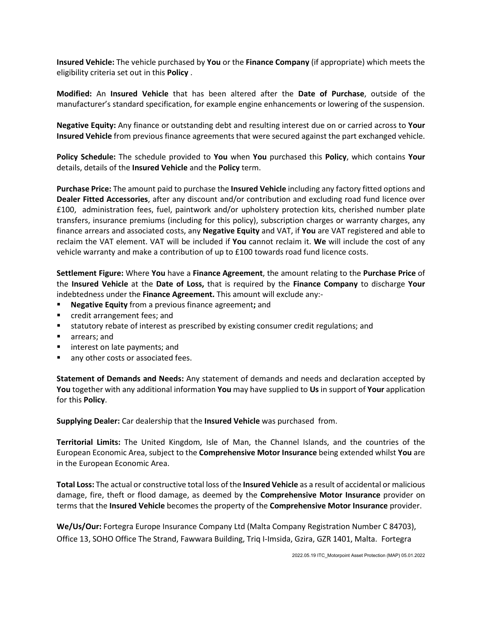**Insured Vehicle:** The vehicle purchased by **You** or the **Finance Company** (if appropriate) which meets the eligibility criteria set out in this **Policy** .

**Modified:** An **Insured Vehicle** that has been altered after the **Date of Purchase**, outside of the manufacturer's standard specification, for example engine enhancements or lowering of the suspension.

**Negative Equity:** Any finance or outstanding debt and resulting interest due on or carried across to **Your Insured Vehicle** from previous finance agreements that were secured against the part exchanged vehicle.

**Policy Schedule:** The schedule provided to **You** when **You** purchased this **Policy**, which contains **Your** details, details of the **Insured Vehicle** and the **Policy** term.

**Purchase Price:** The amount paid to purchase the **Insured Vehicle** including any factory fitted options and **Dealer Fitted Accessories**, after any discount and/or contribution and excluding road fund licence over £100, administration fees, fuel, paintwork and/or upholstery protection kits, cherished number plate transfers, insurance premiums (including for this policy), subscription charges or warranty charges, any finance arrears and associated costs, any **Negative Equity** and VAT, if **You** are VAT registered and able to reclaim the VAT element. VAT will be included if **You** cannot reclaim it. **We** will include the cost of any vehicle warranty and make a contribution of up to £100 towards road fund licence costs.

**Settlement Figure:** Where **You** have a **Finance Agreement**, the amount relating to the **Purchase Price** of the **Insured Vehicle** at the **Date of Loss,** that is required by the **Finance Company** to discharge **Your**  indebtedness under the **Finance Agreement.** This amount will exclude any:-

- **Negative Equity** from a previous finance agreement**;** and
- credit arrangement fees; and
- statutory rebate of interest as prescribed by existing consumer credit regulations; and
- **arrears**; and
- **If** interest on late payments; and
- **any other costs or associated fees.**

**Statement of Demands and Needs:** Any statement of demands and needs and declaration accepted by **You** together with any additional information **You** may have supplied to **Us** in support of **Your** application for this **Policy**.

**Supplying Dealer:** Car dealership that the **Insured Vehicle** was purchased from.

**Territorial Limits:** The United Kingdom, Isle of Man, the Channel Islands, and the countries of the European Economic Area, subject to the **Comprehensive Motor Insurance** being extended whilst **You** are in the European Economic Area.

**Total Loss:** The actual or constructive total loss of the **Insured Vehicle** as a result of accidental or malicious damage, fire, theft or flood damage, as deemed by the **Comprehensive Motor Insurance** provider on terms that the **Insured Vehicle** becomes the property of the **Comprehensive Motor Insurance** provider.

**We/Us/Our:** Fortegra Europe Insurance Company Ltd (Malta Company Registration Number C 84703), Office 13, SOHO Office The Strand, Fawwara Building, Triq I-Imsida, Gzira, GZR 1401, Malta. Fortegra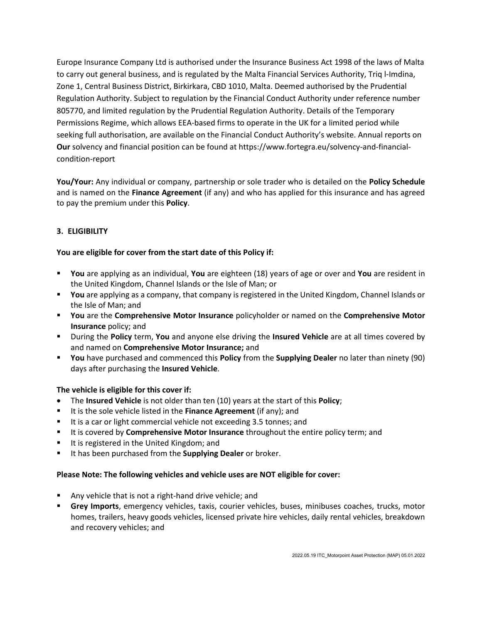Europe Insurance Company Ltd is authorised under the Insurance Business Act 1998 of the laws of Malta to carry out general business, and is regulated by the Malta Financial Services Authority, Triq l-Imdina, Zone 1, Central Business District, Birkirkara, CBD 1010, Malta. Deemed authorised by the Prudential Regulation Authority. Subject to regulation by the Financial Conduct Authority under reference number 805770, and limited regulation by the Prudential Regulation Authority. Details of the Temporary Permissions Regime, which allows EEA-based firms to operate in the UK for a limited period while seeking full authorisation, are available on the Financial Conduct Authority's website. Annual reports on **Our** solvency and financial position can be found at https://www.fortegra.eu/solvency-and-financialcondition-report

**You/Your:** Any individual or company, partnership or sole trader who is detailed on the **Policy Schedule** and is named on the **Finance Agreement** (if any) and who has applied for this insurance and has agreed to pay the premium under this **Policy**.

# **3. ELIGIBILITY**

# **You are eligible for cover from the start date of this Policy if:**

- **You** are applying as an individual, **You** are eighteen (18) years of age or over and **You** are resident in the United Kingdom, Channel Islands or the Isle of Man; or
- **You** are applying as a company, that company is registered in the United Kingdom, Channel Islands or the Isle of Man; and
- **You** are the **Comprehensive Motor Insurance** policyholder or named on the **Comprehensive Motor Insurance** policy; and
- During the **Policy** term, **You** and anyone else driving the **Insured Vehicle** are at all times covered by and named on **Comprehensive Motor Insurance;** and
- **You** have purchased and commenced this **Policy** from the **Supplying Dealer** no later than ninety (90) days after purchasing the **Insured Vehicle**.

### **The vehicle is eligible for this cover if:**

- The **Insured Vehicle** is not older than ten (10) years at the start of this **Policy**;
- It is the sole vehicle listed in the **Finance Agreement** (if any); and
- If is a car or light commercial vehicle not exceeding 3.5 tonnes; and
- **If is covered by Comprehensive Motor Insurance** throughout the entire policy term; and
- It is registered in the United Kingdom; and
- **It has been purchased from the Supplying Dealer or broker.**

### **Please Note: The following vehicles and vehicle uses are NOT eligible for cover:**

- Any vehicle that is not a right-hand drive vehicle; and
- **Grey Imports**, emergency vehicles, taxis, courier vehicles, buses, minibuses coaches, trucks, motor homes, trailers, heavy goods vehicles, licensed private hire vehicles, daily rental vehicles, breakdown and recovery vehicles; and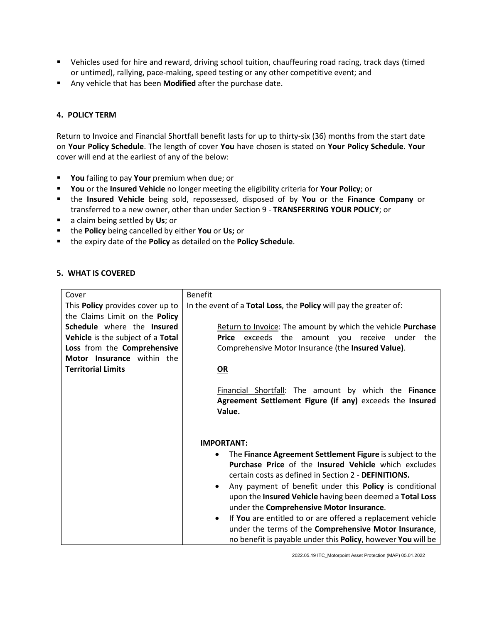- Vehicles used for hire and reward, driving school tuition, chauffeuring road racing, track days (timed or untimed), rallying, pace-making, speed testing or any other competitive event; and
- Any vehicle that has been **Modified** after the purchase date.

# **4. POLICY TERM**

Return to Invoice and Financial Shortfall benefit lasts for up to thirty-six (36) months from the start date on **Your Policy Schedule**. The length of cover **You** have chosen is stated on **Your Policy Schedule**. **Your** cover will end at the earliest of any of the below:

- **You** failing to pay **Your** premium when due; or
- **You** or the **Insured Vehicle** no longer meeting the eligibility criteria for **Your Policy**; or
- the **Insured Vehicle** being sold, repossessed, disposed of by **You** or the **Finance Company** or transferred to a new owner, other than under Section 9 - **TRANSFERRING YOUR POLICY**; or
- a claim being settled by **Us**; or
- the **Policy** being cancelled by either **You** or **Us;** or
- the expiry date of the **Policy** as detailed on the **Policy Schedule**.

### **5. WHAT IS COVERED**

| Cover                                                        | <b>Benefit</b>                                                                                                             |
|--------------------------------------------------------------|----------------------------------------------------------------------------------------------------------------------------|
| This <b>Policy</b> provides cover up to                      | In the event of a Total Loss, the Policy will pay the greater of:                                                          |
| the Claims Limit on the Policy<br>Schedule where the Insured | Return to Invoice: The amount by which the vehicle Purchase                                                                |
| Vehicle is the subject of a Total                            | Price exceeds the amount you<br>receive<br>the<br>under                                                                    |
| Loss from the Comprehensive                                  | Comprehensive Motor Insurance (the Insured Value).                                                                         |
| Motor Insurance within the                                   |                                                                                                                            |
| <b>Territorial Limits</b>                                    | OR                                                                                                                         |
|                                                              | Financial Shortfall: The amount by which the Finance<br>Agreement Settlement Figure (if any) exceeds the Insured<br>Value. |
|                                                              | <b>IMPORTANT:</b>                                                                                                          |
|                                                              | The Finance Agreement Settlement Figure is subject to the                                                                  |
|                                                              | Purchase Price of the Insured Vehicle which excludes<br>certain costs as defined in Section 2 - DEFINITIONS.               |
|                                                              | Any payment of benefit under this <b>Policy</b> is conditional<br>$\bullet$                                                |
|                                                              | upon the Insured Vehicle having been deemed a Total Loss                                                                   |
|                                                              | under the Comprehensive Motor Insurance.                                                                                   |
|                                                              | If You are entitled to or are offered a replacement vehicle<br>$\bullet$                                                   |
|                                                              | under the terms of the Comprehensive Motor Insurance,                                                                      |
|                                                              | no benefit is payable under this Policy, however You will be                                                               |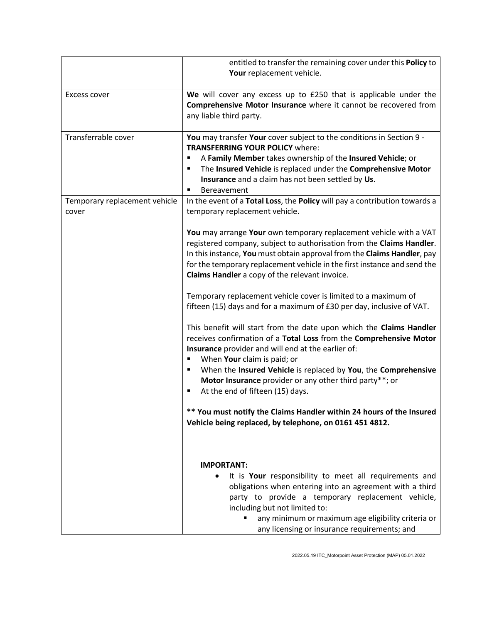|                                        | entitled to transfer the remaining cover under this Policy to                                                                                                                                                                                                                                                                                                                                                  |
|----------------------------------------|----------------------------------------------------------------------------------------------------------------------------------------------------------------------------------------------------------------------------------------------------------------------------------------------------------------------------------------------------------------------------------------------------------------|
|                                        | Your replacement vehicle.                                                                                                                                                                                                                                                                                                                                                                                      |
| Excess cover                           | We will cover any excess up to £250 that is applicable under the<br>Comprehensive Motor Insurance where it cannot be recovered from<br>any liable third party.                                                                                                                                                                                                                                                 |
| Transferrable cover                    | You may transfer Your cover subject to the conditions in Section 9 -<br><b>TRANSFERRING YOUR POLICY where:</b><br>A Family Member takes ownership of the Insured Vehicle; or<br>п<br>The Insured Vehicle is replaced under the Comprehensive Motor<br>٠<br>Insurance and a claim has not been settled by Us.<br>Bereavement<br>٠                                                                               |
| Temporary replacement vehicle<br>cover | In the event of a Total Loss, the Policy will pay a contribution towards a<br>temporary replacement vehicle.                                                                                                                                                                                                                                                                                                   |
|                                        | You may arrange Your own temporary replacement vehicle with a VAT<br>registered company, subject to authorisation from the Claims Handler.<br>In this instance, You must obtain approval from the Claims Handler, pay<br>for the temporary replacement vehicle in the first instance and send the<br>Claims Handler a copy of the relevant invoice.                                                            |
|                                        | Temporary replacement vehicle cover is limited to a maximum of<br>fifteen (15) days and for a maximum of £30 per day, inclusive of VAT.                                                                                                                                                                                                                                                                        |
|                                        | This benefit will start from the date upon which the Claims Handler<br>receives confirmation of a Total Loss from the Comprehensive Motor<br>Insurance provider and will end at the earlier of:<br>When Your claim is paid; or<br>п<br>When the Insured Vehicle is replaced by You, the Comprehensive<br>п<br>Motor Insurance provider or any other third party**; or<br>At the end of fifteen (15) days.<br>٠ |
|                                        | ** You must notify the Claims Handler within 24 hours of the Insured<br>Vehicle being replaced, by telephone, on 0161 451 4812.                                                                                                                                                                                                                                                                                |
|                                        | <b>IMPORTANT:</b><br>It is Your responsibility to meet all requirements and<br>obligations when entering into an agreement with a third<br>party to provide a temporary replacement vehicle,<br>including but not limited to:<br>any minimum or maximum age eligibility criteria or<br>any licensing or insurance requirements; and                                                                            |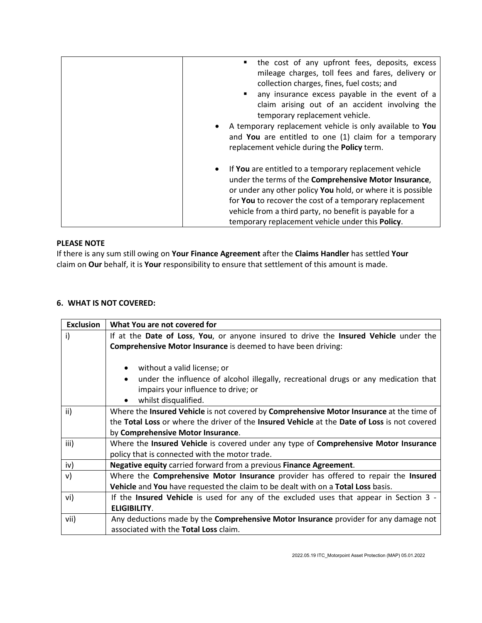| the cost of any upfront fees, deposits, excess<br>٠              |
|------------------------------------------------------------------|
| mileage charges, toll fees and fares, delivery or                |
| collection charges, fines, fuel costs; and                       |
| any insurance excess payable in the event of a<br>$\blacksquare$ |
| claim arising out of an accident involving the                   |
| temporary replacement vehicle.                                   |
| A temporary replacement vehicle is only available to You         |
|                                                                  |
| and You are entitled to one (1) claim for a temporary            |
| replacement vehicle during the Policy term.                      |
|                                                                  |
| If You are entitled to a temporary replacement vehicle           |
| under the terms of the Comprehensive Motor Insurance,            |
| or under any other policy You hold, or where it is possible      |
|                                                                  |
| for You to recover the cost of a temporary replacement           |
| vehicle from a third party, no benefit is payable for a          |
| temporary replacement vehicle under this Policy.                 |
|                                                                  |

# **PLEASE NOTE**

If there is any sum still owing on **Your Finance Agreement** after the **Claims Handler** has settled **Your** claim on **Our** behalf, it is **Your** responsibility to ensure that settlement of this amount is made.

# **6. WHAT IS NOT COVERED:**

| <b>Exclusion</b> | What You are not covered for                                                                 |  |
|------------------|----------------------------------------------------------------------------------------------|--|
| i)               | If at the Date of Loss, You, or anyone insured to drive the Insured Vehicle under the        |  |
|                  | <b>Comprehensive Motor Insurance</b> is deemed to have been driving:                         |  |
|                  |                                                                                              |  |
|                  | without a valid license; or                                                                  |  |
|                  | under the influence of alcohol illegally, recreational drugs or any medication that          |  |
|                  | impairs your influence to drive; or                                                          |  |
|                  | whilst disqualified.<br>$\bullet$                                                            |  |
| ii)              | Where the Insured Vehicle is not covered by Comprehensive Motor Insurance at the time of     |  |
|                  | the Total Loss or where the driver of the Insured Vehicle at the Date of Loss is not covered |  |
|                  | by Comprehensive Motor Insurance.                                                            |  |
| iii)             | Where the Insured Vehicle is covered under any type of Comprehensive Motor Insurance         |  |
|                  | policy that is connected with the motor trade.                                               |  |
| iv)              | Negative equity carried forward from a previous Finance Agreement.                           |  |
| v)               | Where the Comprehensive Motor Insurance provider has offered to repair the Insured           |  |
|                  | Vehicle and You have requested the claim to be dealt with on a Total Loss basis.             |  |
| vi)              | If the Insured Vehicle is used for any of the excluded uses that appear in Section 3 -       |  |
|                  | <b>ELIGIBILITY.</b>                                                                          |  |
| vii)             | Any deductions made by the <b>Comprehensive Motor Insurance</b> provider for any damage not  |  |
|                  | associated with the Total Loss claim.                                                        |  |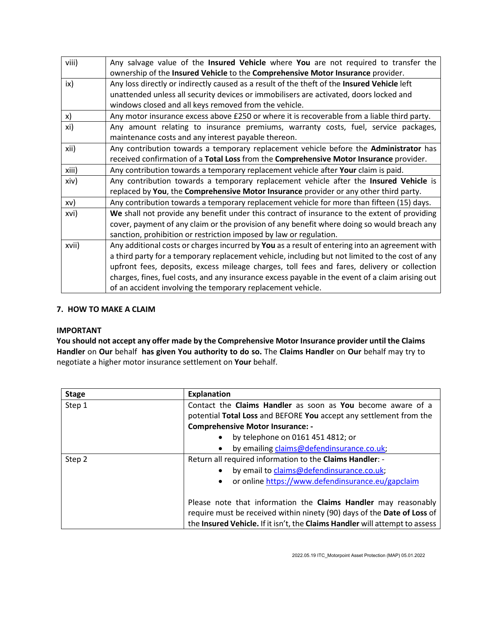| viii) | Any salvage value of the Insured Vehicle where You are not required to transfer the              |
|-------|--------------------------------------------------------------------------------------------------|
|       | ownership of the Insured Vehicle to the Comprehensive Motor Insurance provider.                  |
| ix)   | Any loss directly or indirectly caused as a result of the theft of the Insured Vehicle left      |
|       | unattended unless all security devices or immobilisers are activated, doors locked and           |
|       | windows closed and all keys removed from the vehicle.                                            |
| x)    | Any motor insurance excess above £250 or where it is recoverable from a liable third party.      |
| xi)   | Any amount relating to insurance premiums, warranty costs, fuel, service packages,               |
|       | maintenance costs and any interest payable thereon.                                              |
| xii)  | Any contribution towards a temporary replacement vehicle before the Administrator has            |
|       | received confirmation of a Total Loss from the Comprehensive Motor Insurance provider.           |
| xiii) | Any contribution towards a temporary replacement vehicle after Your claim is paid.               |
| xiv)  | Any contribution towards a temporary replacement vehicle after the Insured Vehicle is            |
|       | replaced by You, the Comprehensive Motor Insurance provider or any other third party.            |
| xv)   | Any contribution towards a temporary replacement vehicle for more than fifteen (15) days.        |
| xvi)  | We shall not provide any benefit under this contract of insurance to the extent of providing     |
|       | cover, payment of any claim or the provision of any benefit where doing so would breach any      |
|       | sanction, prohibition or restriction imposed by law or regulation.                               |
| xvii) | Any additional costs or charges incurred by You as a result of entering into an agreement with   |
|       | a third party for a temporary replacement vehicle, including but not limited to the cost of any  |
|       | upfront fees, deposits, excess mileage charges, toll fees and fares, delivery or collection      |
|       | charges, fines, fuel costs, and any insurance excess payable in the event of a claim arising out |
|       | of an accident involving the temporary replacement vehicle.                                      |

## **7. HOW TO MAKE A CLAIM**

### **IMPORTANT**

**You should not accept any offer made by the Comprehensive Motor Insurance provider until the Claims Handler** on **Our** behalf **has given You authority to do so.** The **Claims Handler** on **Our** behalf may try to negotiate a higher motor insurance settlement on **Your** behalf.

| <b>Stage</b> | <b>Explanation</b>                                                          |  |
|--------------|-----------------------------------------------------------------------------|--|
| Step 1       | Contact the Claims Handler as soon as You become aware of a                 |  |
|              | potential Total Loss and BEFORE You accept any settlement from the          |  |
|              | <b>Comprehensive Motor Insurance: -</b>                                     |  |
|              | by telephone on 0161 451 4812; or                                           |  |
|              | by emailing claims@defendinsurance.co.uk;<br>$\bullet$                      |  |
| Step 2       | Return all required information to the Claims Handler: -                    |  |
|              | by email to claims@defendinsurance.co.uk;<br>$\bullet$                      |  |
|              | or online https://www.defendinsurance.eu/gapclaim<br>$\bullet$              |  |
|              |                                                                             |  |
|              | Please note that information the Claims Handler may reasonably              |  |
|              | require must be received within ninety (90) days of the Date of Loss of     |  |
|              | the Insured Vehicle. If it isn't, the Claims Handler will attempt to assess |  |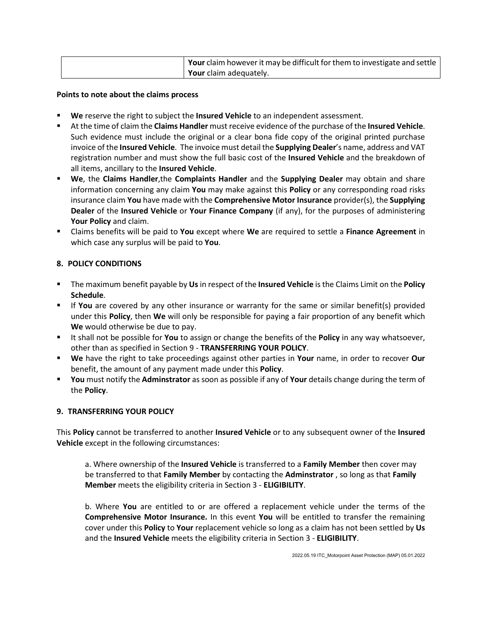| Your claim however it may be difficult for them to investigate and settle |
|---------------------------------------------------------------------------|
| Your claim adequately.                                                    |

#### **Points to note about the claims process**

- **We** reserve the right to subject the **Insured Vehicle** to an independent assessment.
- At the time of claim the **Claims Handler** must receive evidence of the purchase of the **Insured Vehicle**. Such evidence must include the original or a clear bona fide copy of the original printed purchase invoice of the **Insured Vehicle**. The invoice must detail the **Supplying Dealer**'s name, address and VAT registration number and must show the full basic cost of the **Insured Vehicle** and the breakdown of all items, ancillary to the **Insured Vehicle**.
- **We**, the **Claims Handler**,the **Complaints Handler** and the **Supplying Dealer** may obtain and share information concerning any claim **You** may make against this **Policy** or any corresponding road risks insurance claim **You** have made with the **Comprehensive Motor Insurance** provider(s), the **Supplying Dealer** of the **Insured Vehicle** or **Your Finance Company** (if any), for the purposes of administering **Your Policy** and claim.
- Claims benefits will be paid to **You** except where **We** are required to settle a **Finance Agreement** in which case any surplus will be paid to **You**.

### **8. POLICY CONDITIONS**

- The maximum benefit payable by **Us**in respect of the **Insured Vehicle** is the Claims Limit on the **Policy Schedule**.
- If **You** are covered by any other insurance or warranty for the same or similar benefit(s) provided under this **Policy**, then **We** will only be responsible for paying a fair proportion of any benefit which **We** would otherwise be due to pay.
- It shall not be possible for **You** to assign or change the benefits of the **Policy** in any way whatsoever, other than as specified in Section 9 - **TRANSFERRING YOUR POLICY**.
- **We** have the right to take proceedings against other parties in **Your** name, in order to recover **Our** benefit, the amount of any payment made under this **Policy**.
- **You** must notify the **Adminstrator** as soon as possible if any of **Your** details change during the term of the **Policy**.

### **9. TRANSFERRING YOUR POLICY**

This **Policy** cannot be transferred to another **Insured Vehicle** or to any subsequent owner of the **Insured Vehicle** except in the following circumstances:

a. Where ownership of the **Insured Vehicle** is transferred to a **Family Member** then cover may be transferred to that **Family Member** by contacting the **Adminstrator** , so long as that **Family Member** meets the eligibility criteria in Section 3 - **ELIGIBILITY**.

b. Where **You** are entitled to or are offered a replacement vehicle under the terms of the **Comprehensive Motor Insurance.** In this event **You** will be entitled to transfer the remaining cover under this **Policy** to **Your** replacement vehicle so long as a claim has not been settled by **Us** and the **Insured Vehicle** meets the eligibility criteria in Section 3 - **ELIGIBILITY**.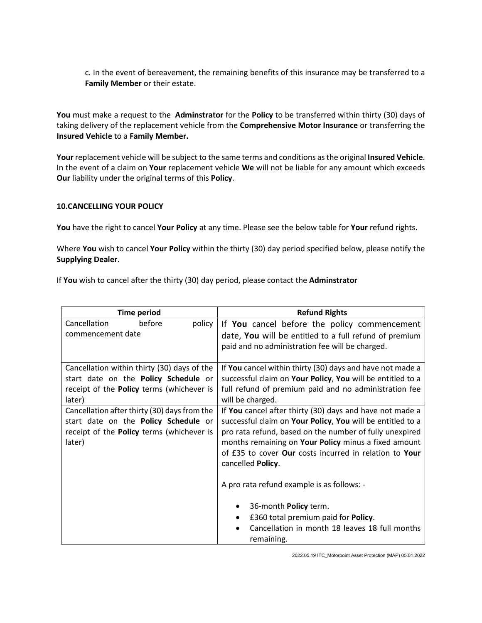c. In the event of bereavement, the remaining benefits of this insurance may be transferred to a **Family Member** or their estate.

**You** must make a request to the **Adminstrator** for the **Policy** to be transferred within thirty (30) days of taking delivery of the replacement vehicle from the **Comprehensive Motor Insurance** or transferring the **Insured Vehicle** to a **Family Member.**

**Your** replacement vehicle will be subject to the same terms and conditions as the original **Insured Vehicle**. In the event of a claim on **Your** replacement vehicle **We** will not be liable for any amount which exceeds **Our** liability under the original terms of this **Policy**.

### **10.CANCELLING YOUR POLICY**

**You** have the right to cancel **Your Policy** at any time. Please see the below table for **Your** refund rights.

Where **You** wish to cancel **Your Policy** within the thirty (30) day period specified below, please notify the **Supplying Dealer**.

If **You** wish to cancel after the thirty (30) day period, please contact the **Adminstrator**

| <b>Time period</b>                                         | <b>Refund Rights</b>                                                                                            |
|------------------------------------------------------------|-----------------------------------------------------------------------------------------------------------------|
| Cancellation<br>before<br>policy                           | If You cancel before the policy commencement                                                                    |
| commencement date                                          | date, You will be entitled to a full refund of premium                                                          |
|                                                            | paid and no administration fee will be charged.                                                                 |
| Cancellation within thirty (30) days of the                | If You cancel within thirty (30) days and have not made a                                                       |
| start date on the Policy Schedule or                       | successful claim on Your Policy, You will be entitled to a                                                      |
| receipt of the <b>Policy</b> terms (whichever is<br>later) | full refund of premium paid and no administration fee<br>will be charged.                                       |
| Cancellation after thirty (30) days from the               | If You cancel after thirty (30) days and have not made a                                                        |
| start date on the Policy Schedule or                       | successful claim on Your Policy, You will be entitled to a                                                      |
| receipt of the Policy terms (whichever is<br>later)        | pro rata refund, based on the number of fully unexpired<br>months remaining on Your Policy minus a fixed amount |
|                                                            | of £35 to cover Our costs incurred in relation to Your                                                          |
|                                                            | cancelled Policy.                                                                                               |
|                                                            | A pro rata refund example is as follows: -                                                                      |
|                                                            | 36-month Policy term.                                                                                           |
|                                                            | £360 total premium paid for Policy.<br>$\bullet$                                                                |
|                                                            | Cancellation in month 18 leaves 18 full months<br>$\bullet$<br>remaining.                                       |

2022.05.19 ITC\_Motorpoint Asset Protection (MAP) 05.01.2022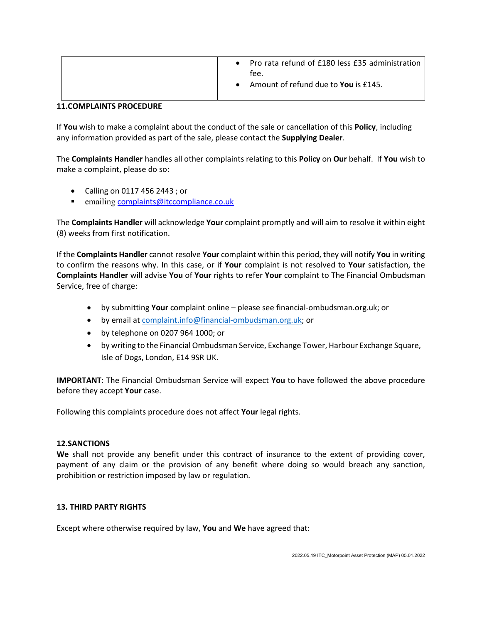|  | Pro rata refund of £180 less £35 administration<br>$\bullet$<br>tee.<br>Amount of refund due to You is £145. |
|--|--------------------------------------------------------------------------------------------------------------|
|--|--------------------------------------------------------------------------------------------------------------|

### **11.COMPLAINTS PROCEDURE**

If **You** wish to make a complaint about the conduct of the sale or cancellation of this **Policy**, including any information provided as part of the sale, please contact the **Supplying Dealer**.

The **Complaints Handler** handles all other complaints relating to this **Policy** on **Our** behalf. If **You** wish to make a complaint, please do so:

- Calling on 0117 456 2443 ; or
- emailing [complaints@itccompliance.co.uk](mailto:complaints@itccompliance.co.uk)

The **Complaints Handler** will acknowledge **Your** complaint promptly and will aim to resolve it within eight (8) weeks from first notification.

If the **Complaints Handler** cannot resolve **Your** complaint within this period, they will notify **You** in writing to confirm the reasons why. In this case, or if **Your** complaint is not resolved to **Your** satisfaction, the **Complaints Handler** will advise **You** of **Your** rights to refer **Your** complaint to The Financial Ombudsman Service, free of charge:

- by submitting **Your** complaint online please see financial-ombudsman.org.uk; or
- by email at [complaint.info@financial-ombudsman.org.uk;](mailto:complaint.info@financial-ombudsman.org.uk) or
- by telephone on 0207 964 1000; or
- by writing to the Financial Ombudsman Service, Exchange Tower, Harbour Exchange Square, Isle of Dogs, London, E14 9SR UK.

**IMPORTANT**: The Financial Ombudsman Service will expect **You** to have followed the above procedure before they accept **Your** case.

Following this complaints procedure does not affect **Your** legal rights.

#### **12.SANCTIONS**

**We** shall not provide any benefit under this contract of insurance to the extent of providing cover, payment of any claim or the provision of any benefit where doing so would breach any sanction, prohibition or restriction imposed by law or regulation.

### **13. THIRD PARTY RIGHTS**

Except where otherwise required by law, **You** and **We** have agreed that: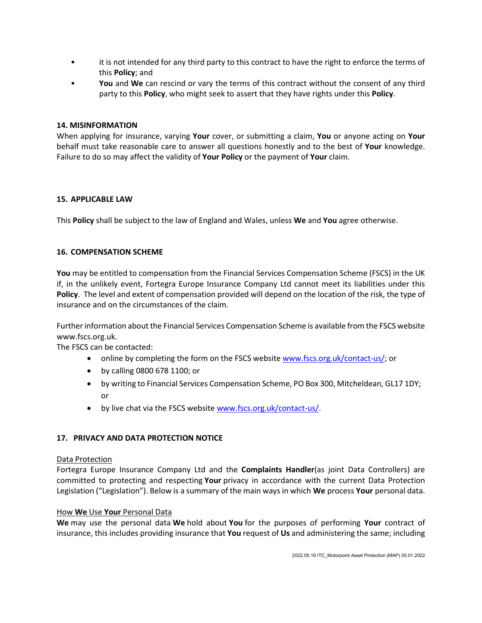- it is not intended for any third party to this contract to have the right to enforce the terms of this **Policy**; and
- **You** and **We** can rescind or vary the terms of this contract without the consent of any third party to this **Policy**, who might seek to assert that they have rights under this **Policy**.

## **14. MISINFORMATION**

When applying for insurance, varying **Your** cover, or submitting a claim, **You** or anyone acting on **Your** behalf must take reasonable care to answer all questions honestly and to the best of **Your** knowledge. Failure to do so may affect the validity of **Your Policy** or the payment of **Your** claim.

### **15. APPLICABLE LAW**

This **Policy** shall be subject to the law of England and Wales, unless **We** and **You** agree otherwise.

# **16. COMPENSATION SCHEME**

**You** may be entitled to compensation from the Financial Services Compensation Scheme (FSCS) in the UK if, in the unlikely event, Fortegra Europe Insurance Company Ltd cannot meet its liabilities under this **Policy**. The level and extent of compensation provided will depend on the location of the risk, the type of insurance and on the circumstances of the claim.

Further information about the Financial Services Compensation Scheme is available from the FSCS website www.fscs.org.uk.

The FSCS can be contacted:

- online by completing the form on the FSCS website [www.fscs.org.uk/contact-us/;](http://www.fscs.org.uk/contact-us/) or
- by calling 0800 678 1100; or
- by writing to Financial Services Compensation Scheme, PO Box 300, Mitcheldean, GL17 1DY; or
- by live chat via the FSCS website [www.fscs.org.uk/contact-us/.](http://www.fscs.org.uk/contact-us/)

### **17. PRIVACY AND DATA PROTECTION NOTICE**

### Data Protection

Fortegra Europe Insurance Company Ltd and the **Complaints Handler**(as joint Data Controllers) are committed to protecting and respecting **Your** privacy in accordance with the current Data Protection Legislation ("Legislation"). Below is a summary of the main ways in which **We** process **Your** personal data.

### How **We** Use **Your** Personal Data

**We** may use the personal data **We** hold about **You** for the purposes of performing **Your** contract of insurance, this includes providing insurance that **You** request of **Us** and administering the same; including